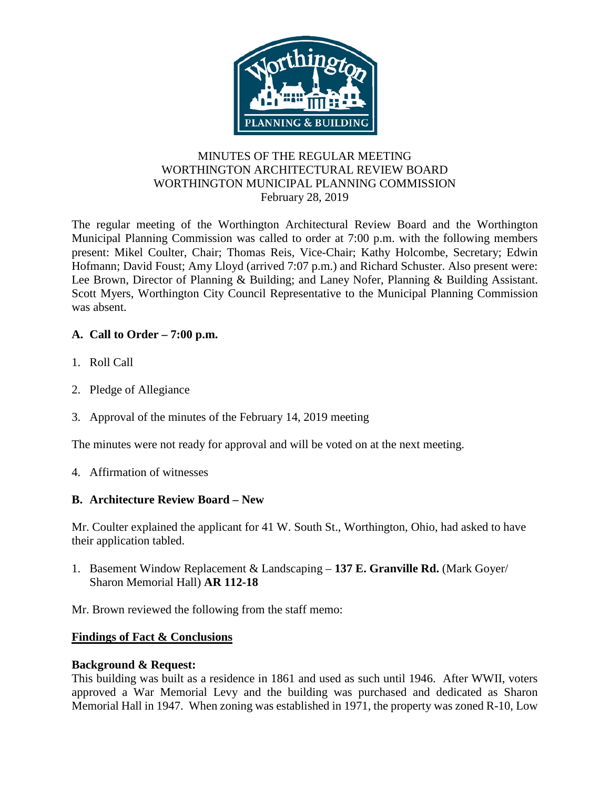

# MINUTES OF THE REGULAR MEETING WORTHINGTON ARCHITECTURAL REVIEW BOARD WORTHINGTON MUNICIPAL PLANNING COMMISSION February 28, 2019

The regular meeting of the Worthington Architectural Review Board and the Worthington Municipal Planning Commission was called to order at 7:00 p.m. with the following members present: Mikel Coulter, Chair; Thomas Reis, Vice-Chair; Kathy Holcombe, Secretary; Edwin Hofmann; David Foust; Amy Lloyd (arrived 7:07 p.m.) and Richard Schuster. Also present were: Lee Brown, Director of Planning & Building; and Laney Nofer, Planning & Building Assistant. Scott Myers, Worthington City Council Representative to the Municipal Planning Commission was absent.

# **A. Call to Order – 7:00 p.m.**

- 1. Roll Call
- 2. Pledge of Allegiance
- 3. Approval of the minutes of the February 14, 2019 meeting

The minutes were not ready for approval and will be voted on at the next meeting.

4. Affirmation of witnesses

# **B. Architecture Review Board – New**

Mr. Coulter explained the applicant for 41 W. South St., Worthington, Ohio, had asked to have their application tabled.

1. Basement Window Replacement & Landscaping – **137 E. Granville Rd.** (Mark Goyer/ Sharon Memorial Hall) **AR 112-18**

Mr. Brown reviewed the following from the staff memo:

# **Findings of Fact & Conclusions**

# **Background & Request:**

This building was built as a residence in 1861 and used as such until 1946. After WWII, voters approved a War Memorial Levy and the building was purchased and dedicated as Sharon Memorial Hall in 1947. When zoning was established in 1971, the property was zoned R-10, Low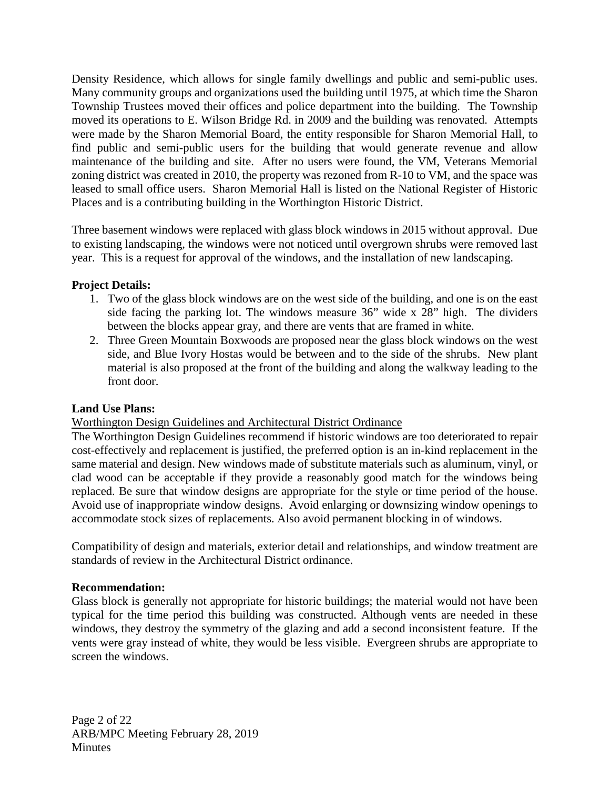Density Residence, which allows for single family dwellings and public and semi-public uses. Many community groups and organizations used the building until 1975, at which time the Sharon Township Trustees moved their offices and police department into the building. The Township moved its operations to E. Wilson Bridge Rd. in 2009 and the building was renovated. Attempts were made by the Sharon Memorial Board, the entity responsible for Sharon Memorial Hall, to find public and semi-public users for the building that would generate revenue and allow maintenance of the building and site. After no users were found, the VM, Veterans Memorial zoning district was created in 2010, the property was rezoned from R-10 to VM, and the space was leased to small office users. Sharon Memorial Hall is listed on the National Register of Historic Places and is a contributing building in the Worthington Historic District.

Three basement windows were replaced with glass block windows in 2015 without approval. Due to existing landscaping, the windows were not noticed until overgrown shrubs were removed last year. This is a request for approval of the windows, and the installation of new landscaping.

#### **Project Details:**

- 1. Two of the glass block windows are on the west side of the building, and one is on the east side facing the parking lot. The windows measure 36" wide x 28" high. The dividers between the blocks appear gray, and there are vents that are framed in white.
- 2. Three Green Mountain Boxwoods are proposed near the glass block windows on the west side, and Blue Ivory Hostas would be between and to the side of the shrubs. New plant material is also proposed at the front of the building and along the walkway leading to the front door.

# **Land Use Plans:**

# Worthington Design Guidelines and Architectural District Ordinance

The Worthington Design Guidelines recommend if historic windows are too deteriorated to repair cost-effectively and replacement is justified, the preferred option is an in-kind replacement in the same material and design. New windows made of substitute materials such as aluminum, vinyl, or clad wood can be acceptable if they provide a reasonably good match for the windows being replaced. Be sure that window designs are appropriate for the style or time period of the house. Avoid use of inappropriate window designs. Avoid enlarging or downsizing window openings to accommodate stock sizes of replacements. Also avoid permanent blocking in of windows.

Compatibility of design and materials, exterior detail and relationships, and window treatment are standards of review in the Architectural District ordinance.

#### **Recommendation:**

Glass block is generally not appropriate for historic buildings; the material would not have been typical for the time period this building was constructed. Although vents are needed in these windows, they destroy the symmetry of the glazing and add a second inconsistent feature. If the vents were gray instead of white, they would be less visible. Evergreen shrubs are appropriate to screen the windows.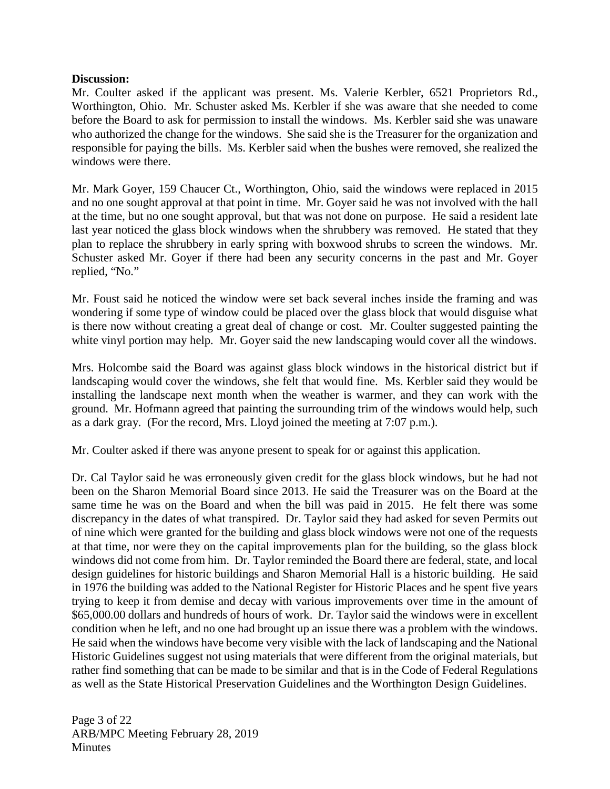#### **Discussion:**

Mr. Coulter asked if the applicant was present. Ms. Valerie Kerbler, 6521 Proprietors Rd., Worthington, Ohio. Mr. Schuster asked Ms. Kerbler if she was aware that she needed to come before the Board to ask for permission to install the windows. Ms. Kerbler said she was unaware who authorized the change for the windows. She said she is the Treasurer for the organization and responsible for paying the bills. Ms. Kerbler said when the bushes were removed, she realized the windows were there.

Mr. Mark Goyer, 159 Chaucer Ct., Worthington, Ohio, said the windows were replaced in 2015 and no one sought approval at that point in time. Mr. Goyer said he was not involved with the hall at the time, but no one sought approval, but that was not done on purpose. He said a resident late last year noticed the glass block windows when the shrubbery was removed. He stated that they plan to replace the shrubbery in early spring with boxwood shrubs to screen the windows. Mr. Schuster asked Mr. Goyer if there had been any security concerns in the past and Mr. Goyer replied, "No."

Mr. Foust said he noticed the window were set back several inches inside the framing and was wondering if some type of window could be placed over the glass block that would disguise what is there now without creating a great deal of change or cost. Mr. Coulter suggested painting the white vinyl portion may help. Mr. Goyer said the new landscaping would cover all the windows.

Mrs. Holcombe said the Board was against glass block windows in the historical district but if landscaping would cover the windows, she felt that would fine. Ms. Kerbler said they would be installing the landscape next month when the weather is warmer, and they can work with the ground. Mr. Hofmann agreed that painting the surrounding trim of the windows would help, such as a dark gray. (For the record, Mrs. Lloyd joined the meeting at 7:07 p.m.).

Mr. Coulter asked if there was anyone present to speak for or against this application.

Dr. Cal Taylor said he was erroneously given credit for the glass block windows, but he had not been on the Sharon Memorial Board since 2013. He said the Treasurer was on the Board at the same time he was on the Board and when the bill was paid in 2015. He felt there was some discrepancy in the dates of what transpired. Dr. Taylor said they had asked for seven Permits out of nine which were granted for the building and glass block windows were not one of the requests at that time, nor were they on the capital improvements plan for the building, so the glass block windows did not come from him. Dr. Taylor reminded the Board there are federal, state, and local design guidelines for historic buildings and Sharon Memorial Hall is a historic building. He said in 1976 the building was added to the National Register for Historic Places and he spent five years trying to keep it from demise and decay with various improvements over time in the amount of \$65,000.00 dollars and hundreds of hours of work. Dr. Taylor said the windows were in excellent condition when he left, and no one had brought up an issue there was a problem with the windows. He said when the windows have become very visible with the lack of landscaping and the National Historic Guidelines suggest not using materials that were different from the original materials, but rather find something that can be made to be similar and that is in the Code of Federal Regulations as well as the State Historical Preservation Guidelines and the Worthington Design Guidelines.

Page 3 of 22 ARB/MPC Meeting February 28, 2019 **Minutes**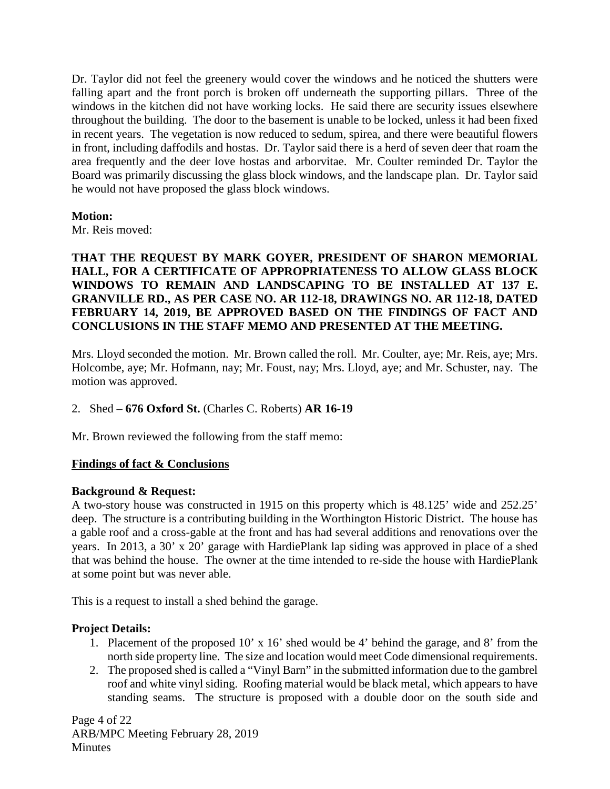Dr. Taylor did not feel the greenery would cover the windows and he noticed the shutters were falling apart and the front porch is broken off underneath the supporting pillars. Three of the windows in the kitchen did not have working locks. He said there are security issues elsewhere throughout the building. The door to the basement is unable to be locked, unless it had been fixed in recent years. The vegetation is now reduced to sedum, spirea, and there were beautiful flowers in front, including daffodils and hostas. Dr. Taylor said there is a herd of seven deer that roam the area frequently and the deer love hostas and arborvitae. Mr. Coulter reminded Dr. Taylor the Board was primarily discussing the glass block windows, and the landscape plan. Dr. Taylor said he would not have proposed the glass block windows.

# **Motion:**

Mr. Reis moved:

**THAT THE REQUEST BY MARK GOYER, PRESIDENT OF SHARON MEMORIAL HALL, FOR A CERTIFICATE OF APPROPRIATENESS TO ALLOW GLASS BLOCK WINDOWS TO REMAIN AND LANDSCAPING TO BE INSTALLED AT 137 E. GRANVILLE RD., AS PER CASE NO. AR 112-18, DRAWINGS NO. AR 112-18, DATED FEBRUARY 14, 2019, BE APPROVED BASED ON THE FINDINGS OF FACT AND CONCLUSIONS IN THE STAFF MEMO AND PRESENTED AT THE MEETING.**

Mrs. Lloyd seconded the motion. Mr. Brown called the roll. Mr. Coulter, aye; Mr. Reis, aye; Mrs. Holcombe, aye; Mr. Hofmann, nay; Mr. Foust, nay; Mrs. Lloyd, aye; and Mr. Schuster, nay. The motion was approved.

2. Shed – **676 Oxford St.** (Charles C. Roberts) **AR 16-19**

Mr. Brown reviewed the following from the staff memo:

# **Findings of fact & Conclusions**

# **Background & Request:**

A two-story house was constructed in 1915 on this property which is 48.125' wide and 252.25' deep. The structure is a contributing building in the Worthington Historic District. The house has a gable roof and a cross-gable at the front and has had several additions and renovations over the years. In 2013, a 30' x 20' garage with HardiePlank lap siding was approved in place of a shed that was behind the house. The owner at the time intended to re-side the house with HardiePlank at some point but was never able.

This is a request to install a shed behind the garage.

# **Project Details:**

- 1. Placement of the proposed 10' x 16' shed would be 4' behind the garage, and 8' from the north side property line. The size and location would meet Code dimensional requirements.
- 2. The proposed shed is called a "Vinyl Barn" in the submitted information due to the gambrel roof and white vinyl siding. Roofing material would be black metal, which appears to have standing seams. The structure is proposed with a double door on the south side and

Page 4 of 22 ARB/MPC Meeting February 28, 2019 **Minutes**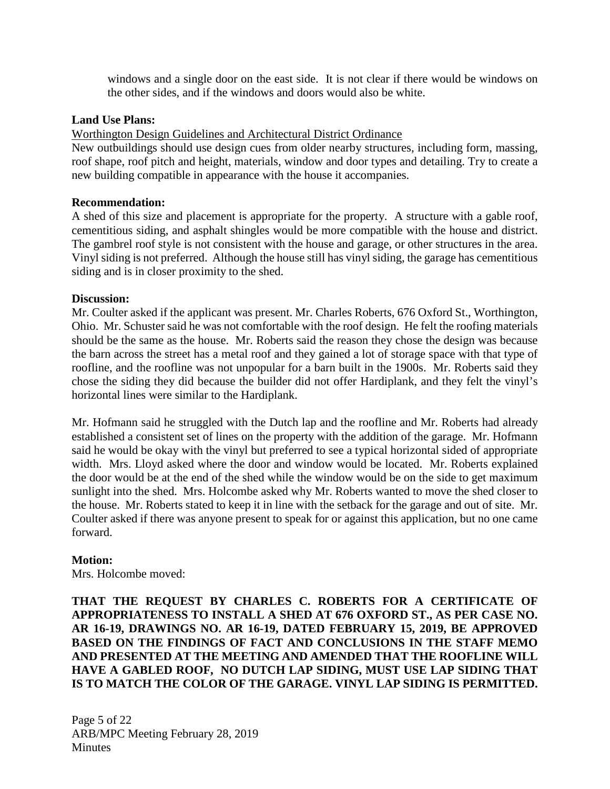windows and a single door on the east side. It is not clear if there would be windows on the other sides, and if the windows and doors would also be white.

#### **Land Use Plans:**

Worthington Design Guidelines and Architectural District Ordinance

New outbuildings should use design cues from older nearby structures, including form, massing, roof shape, roof pitch and height, materials, window and door types and detailing. Try to create a new building compatible in appearance with the house it accompanies.

#### **Recommendation:**

A shed of this size and placement is appropriate for the property. A structure with a gable roof, cementitious siding, and asphalt shingles would be more compatible with the house and district. The gambrel roof style is not consistent with the house and garage, or other structures in the area. Vinyl siding is not preferred. Although the house still has vinyl siding, the garage has cementitious siding and is in closer proximity to the shed.

#### **Discussion:**

Mr. Coulter asked if the applicant was present. Mr. Charles Roberts, 676 Oxford St., Worthington, Ohio. Mr. Schuster said he was not comfortable with the roof design. He felt the roofing materials should be the same as the house. Mr. Roberts said the reason they chose the design was because the barn across the street has a metal roof and they gained a lot of storage space with that type of roofline, and the roofline was not unpopular for a barn built in the 1900s. Mr. Roberts said they chose the siding they did because the builder did not offer Hardiplank, and they felt the vinyl's horizontal lines were similar to the Hardiplank.

Mr. Hofmann said he struggled with the Dutch lap and the roofline and Mr. Roberts had already established a consistent set of lines on the property with the addition of the garage. Mr. Hofmann said he would be okay with the vinyl but preferred to see a typical horizontal sided of appropriate width. Mrs. Lloyd asked where the door and window would be located. Mr. Roberts explained the door would be at the end of the shed while the window would be on the side to get maximum sunlight into the shed. Mrs. Holcombe asked why Mr. Roberts wanted to move the shed closer to the house. Mr. Roberts stated to keep it in line with the setback for the garage and out of site. Mr. Coulter asked if there was anyone present to speak for or against this application, but no one came forward.

#### **Motion:**

Mrs. Holcombe moved:

# **THAT THE REQUEST BY CHARLES C. ROBERTS FOR A CERTIFICATE OF APPROPRIATENESS TO INSTALL A SHED AT 676 OXFORD ST., AS PER CASE NO. AR 16-19, DRAWINGS NO. AR 16-19, DATED FEBRUARY 15, 2019, BE APPROVED BASED ON THE FINDINGS OF FACT AND CONCLUSIONS IN THE STAFF MEMO AND PRESENTED AT THE MEETING AND AMENDED THAT THE ROOFLINE WILL HAVE A GABLED ROOF, NO DUTCH LAP SIDING, MUST USE LAP SIDING THAT IS TO MATCH THE COLOR OF THE GARAGE. VINYL LAP SIDING IS PERMITTED.**

Page 5 of 22 ARB/MPC Meeting February 28, 2019 **Minutes**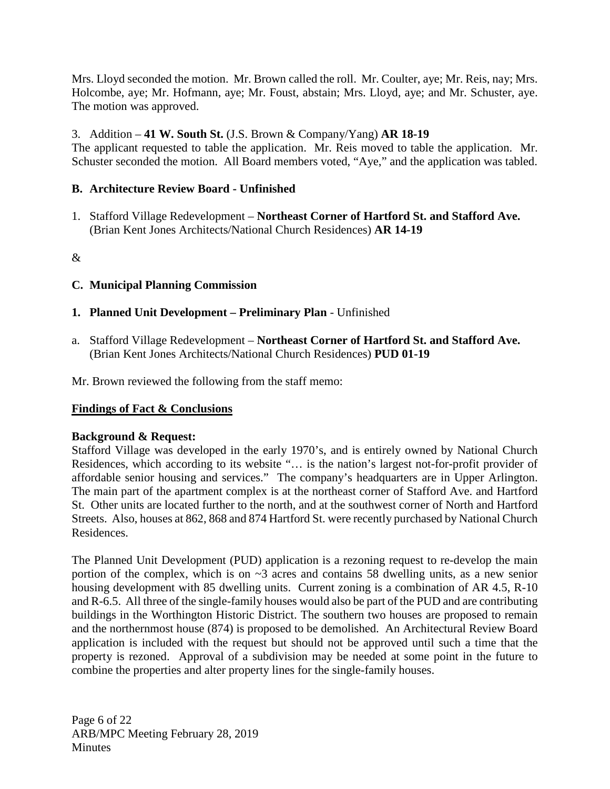Mrs. Lloyd seconded the motion. Mr. Brown called the roll. Mr. Coulter, aye; Mr. Reis, nay; Mrs. Holcombe, aye; Mr. Hofmann, aye; Mr. Foust, abstain; Mrs. Lloyd, aye; and Mr. Schuster, aye. The motion was approved.

# 3. Addition – **41 W. South St.** (J.S. Brown & Company/Yang) **AR 18-19**

The applicant requested to table the application. Mr. Reis moved to table the application. Mr. Schuster seconded the motion. All Board members voted, "Aye," and the application was tabled.

# **B. Architecture Review Board - Unfinished**

1. Stafford Village Redevelopment – **Northeast Corner of Hartford St. and Stafford Ave.**  (Brian Kent Jones Architects/National Church Residences) **AR 14-19** 

&

# **C. Municipal Planning Commission**

- **1. Planned Unit Development – Preliminary Plan** Unfinished
- a. Stafford Village Redevelopment **Northeast Corner of Hartford St. and Stafford Ave.**  (Brian Kent Jones Architects/National Church Residences) **PUD 01-19**

Mr. Brown reviewed the following from the staff memo:

# **Findings of Fact & Conclusions**

# **Background & Request:**

Stafford Village was developed in the early 1970's, and is entirely owned by National Church Residences, which according to its website "… is the nation's largest not-for-profit provider of affordable senior housing and services." The company's headquarters are in Upper Arlington. The main part of the apartment complex is at the northeast corner of Stafford Ave. and Hartford St. Other units are located further to the north, and at the southwest corner of North and Hartford Streets. Also, houses at 862, 868 and 874 Hartford St. were recently purchased by National Church Residences.

The Planned Unit Development (PUD) application is a rezoning request to re-develop the main portion of the complex, which is on  $\sim$ 3 acres and contains 58 dwelling units, as a new senior housing development with 85 dwelling units. Current zoning is a combination of AR 4.5, R-10 and R-6.5. All three of the single-family houses would also be part of the PUD and are contributing buildings in the Worthington Historic District. The southern two houses are proposed to remain and the northernmost house (874) is proposed to be demolished. An Architectural Review Board application is included with the request but should not be approved until such a time that the property is rezoned. Approval of a subdivision may be needed at some point in the future to combine the properties and alter property lines for the single-family houses.

Page 6 of 22 ARB/MPC Meeting February 28, 2019 **Minutes**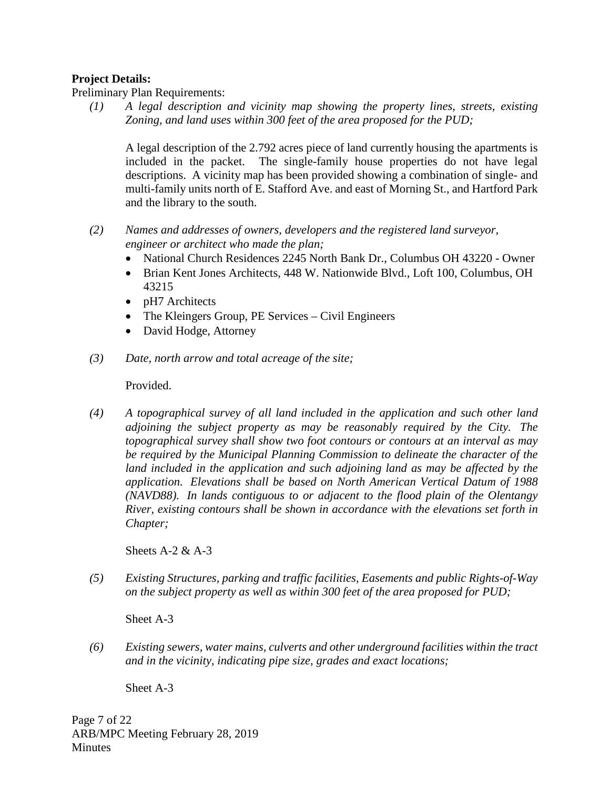#### **Project Details:**

Preliminary Plan Requirements:

*(1) A legal description and vicinity map showing the property lines, streets, existing Zoning, and land uses within 300 feet of the area proposed for the PUD;*

A legal description of the 2.792 acres piece of land currently housing the apartments is included in the packet. The single-family house properties do not have legal descriptions. A vicinity map has been provided showing a combination of single- and multi-family units north of E. Stafford Ave. and east of Morning St., and Hartford Park and the library to the south.

- *(2) Names and addresses of owners, developers and the registered land surveyor, engineer or architect who made the plan;*
	- National Church Residences 2245 North Bank Dr., Columbus OH 43220 Owner
	- Brian Kent Jones Architects, 448 W. Nationwide Blvd., Loft 100, Columbus, OH 43215
	- pH7 Architects
	- The Kleingers Group, PE Services Civil Engineers
	- David Hodge, Attorney
- *(3) Date, north arrow and total acreage of the site;*

Provided.

*(4) A topographical survey of all land included in the application and such other land adjoining the subject property as may be reasonably required by the City. The topographical survey shall show two foot contours or contours at an interval as may be required by the Municipal Planning Commission to delineate the character of the*  land included in the application and such adjoining land as may be affected by the *application. Elevations shall be based on North American Vertical Datum of 1988 (NAVD88). In lands contiguous to or adjacent to the flood plain of the Olentangy River, existing contours shall be shown in accordance with the elevations set forth in Chapter;*

Sheets  $A-2 & A-3$ 

*(5) Existing Structures, parking and traffic facilities, Easements and public Rights-of-Way on the subject property as well as within 300 feet of the area proposed for PUD;*

Sheet A-3

*(6) Existing sewers, water mains, culverts and other underground facilities within the tract and in the vicinity, indicating pipe size, grades and exact locations;*

Sheet A-3

Page 7 of 22 ARB/MPC Meeting February 28, 2019 **Minutes**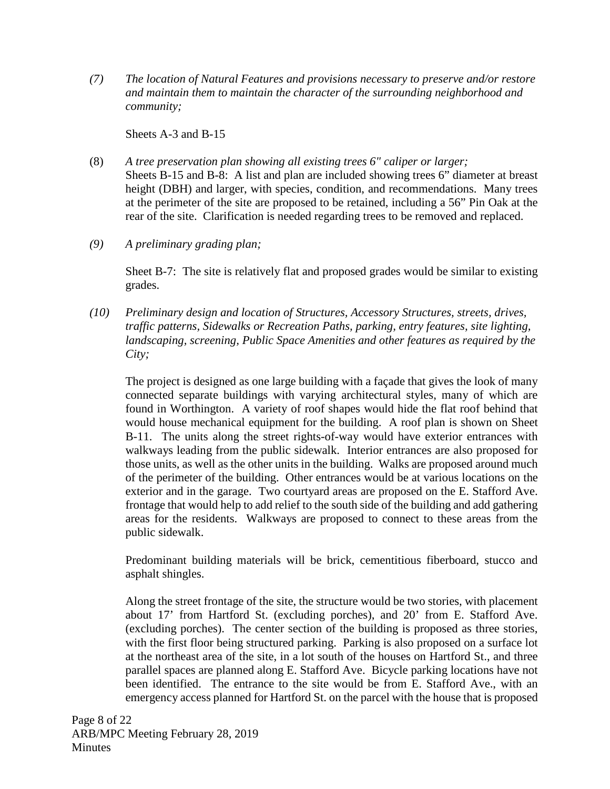*(7) The location of Natural Features and provisions necessary to preserve and/or restore and maintain them to maintain the character of the surrounding neighborhood and community;*

Sheets A-3 and B-15

- (8) *A tree preservation plan showing all existing trees 6" caliper or larger;* Sheets B-15 and B-8: A list and plan are included showing trees 6" diameter at breast height (DBH) and larger, with species, condition, and recommendations. Many trees at the perimeter of the site are proposed to be retained, including a 56" Pin Oak at the rear of the site. Clarification is needed regarding trees to be removed and replaced.
- *(9) A preliminary grading plan;*

Sheet B-7: The site is relatively flat and proposed grades would be similar to existing grades.

*(10) Preliminary design and location of Structures, Accessory Structures, streets, drives, traffic patterns, Sidewalks or Recreation Paths, parking, entry features, site lighting, landscaping, screening, Public Space Amenities and other features as required by the City;*

The project is designed as one large building with a façade that gives the look of many connected separate buildings with varying architectural styles, many of which are found in Worthington. A variety of roof shapes would hide the flat roof behind that would house mechanical equipment for the building. A roof plan is shown on Sheet B-11. The units along the street rights-of-way would have exterior entrances with walkways leading from the public sidewalk. Interior entrances are also proposed for those units, as well as the other units in the building. Walks are proposed around much of the perimeter of the building. Other entrances would be at various locations on the exterior and in the garage. Two courtyard areas are proposed on the E. Stafford Ave. frontage that would help to add relief to the south side of the building and add gathering areas for the residents. Walkways are proposed to connect to these areas from the public sidewalk.

Predominant building materials will be brick, cementitious fiberboard, stucco and asphalt shingles.

Along the street frontage of the site, the structure would be two stories, with placement about 17' from Hartford St. (excluding porches), and 20' from E. Stafford Ave. (excluding porches). The center section of the building is proposed as three stories, with the first floor being structured parking. Parking is also proposed on a surface lot at the northeast area of the site, in a lot south of the houses on Hartford St., and three parallel spaces are planned along E. Stafford Ave. Bicycle parking locations have not been identified. The entrance to the site would be from E. Stafford Ave., with an emergency access planned for Hartford St. on the parcel with the house that is proposed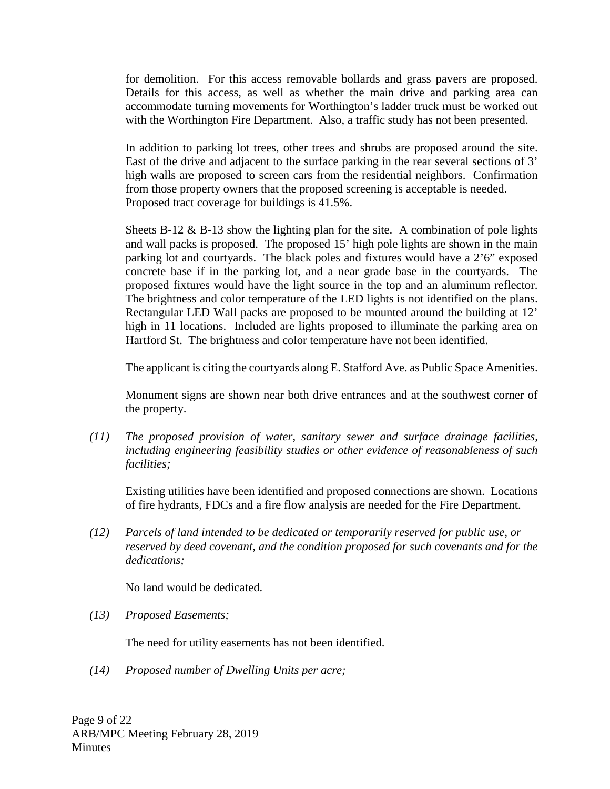for demolition. For this access removable bollards and grass pavers are proposed. Details for this access, as well as whether the main drive and parking area can accommodate turning movements for Worthington's ladder truck must be worked out with the Worthington Fire Department. Also, a traffic study has not been presented.

In addition to parking lot trees, other trees and shrubs are proposed around the site. East of the drive and adjacent to the surface parking in the rear several sections of 3' high walls are proposed to screen cars from the residential neighbors. Confirmation from those property owners that the proposed screening is acceptable is needed. Proposed tract coverage for buildings is 41.5%.

Sheets B-12  $\&$  B-13 show the lighting plan for the site. A combination of pole lights and wall packs is proposed. The proposed 15' high pole lights are shown in the main parking lot and courtyards. The black poles and fixtures would have a 2'6" exposed concrete base if in the parking lot, and a near grade base in the courtyards. The proposed fixtures would have the light source in the top and an aluminum reflector. The brightness and color temperature of the LED lights is not identified on the plans. Rectangular LED Wall packs are proposed to be mounted around the building at 12' high in 11 locations. Included are lights proposed to illuminate the parking area on Hartford St. The brightness and color temperature have not been identified.

The applicant is citing the courtyards along E. Stafford Ave. as Public Space Amenities.

Monument signs are shown near both drive entrances and at the southwest corner of the property.

*(11) The proposed provision of water, sanitary sewer and surface drainage facilities, including engineering feasibility studies or other evidence of reasonableness of such facilities;*

Existing utilities have been identified and proposed connections are shown. Locations of fire hydrants, FDCs and a fire flow analysis are needed for the Fire Department.

*(12) Parcels of land intended to be dedicated or temporarily reserved for public use, or reserved by deed covenant, and the condition proposed for such covenants and for the dedications;*

No land would be dedicated.

*(13) Proposed Easements;* 

The need for utility easements has not been identified.

*(14) Proposed number of Dwelling Units per acre;*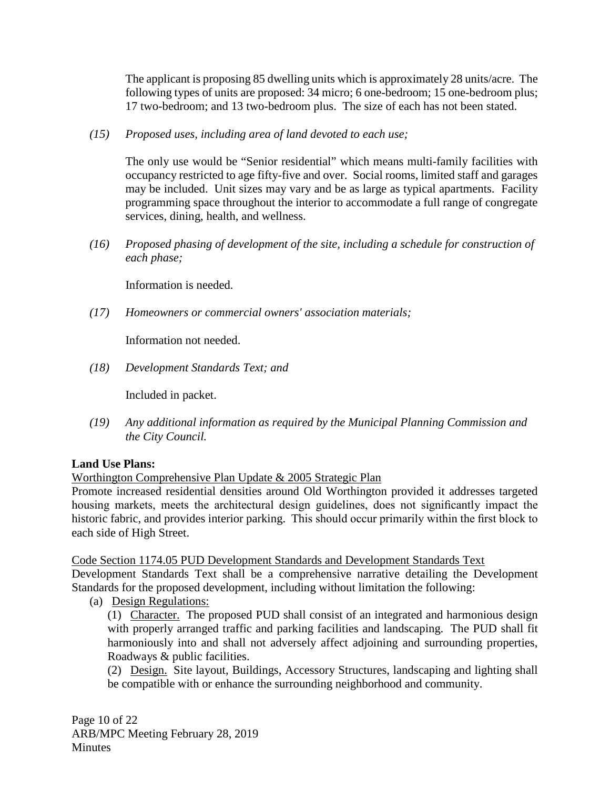The applicant is proposing 85 dwelling units which is approximately 28 units/acre. The following types of units are proposed: 34 micro; 6 one-bedroom; 15 one-bedroom plus; 17 two-bedroom; and 13 two-bedroom plus. The size of each has not been stated.

*(15) Proposed uses, including area of land devoted to each use;*

The only use would be "Senior residential" which means multi-family facilities with occupancy restricted to age fifty-five and over. Social rooms, limited staff and garages may be included. Unit sizes may vary and be as large as typical apartments. Facility programming space throughout the interior to accommodate a full range of congregate services, dining, health, and wellness.

*(16) Proposed phasing of development of the site, including a schedule for construction of each phase;* 

Information is needed.

*(17) Homeowners or commercial owners' association materials;* 

Information not needed.

*(18) Development Standards Text; and*

Included in packet.

*(19) Any additional information as required by the Municipal Planning Commission and the City Council.*

# **Land Use Plans:**

Worthington Comprehensive Plan Update & 2005 Strategic Plan

Promote increased residential densities around Old Worthington provided it addresses targeted housing markets, meets the architectural design guidelines, does not significantly impact the historic fabric, and provides interior parking. This should occur primarily within the first block to each side of High Street.

Code Section 1174.05 PUD Development Standards and Development Standards Text

Development Standards Text shall be a comprehensive narrative detailing the Development Standards for the proposed development, including without limitation the following:

(a) Design Regulations:

(1) Character. The proposed PUD shall consist of an integrated and harmonious design with properly arranged traffic and parking facilities and landscaping. The PUD shall fit harmoniously into and shall not adversely affect adjoining and surrounding properties, Roadways & public facilities.

(2) Design. Site layout, Buildings, Accessory Structures, landscaping and lighting shall be compatible with or enhance the surrounding neighborhood and community.

Page 10 of 22 ARB/MPC Meeting February 28, 2019 **Minutes**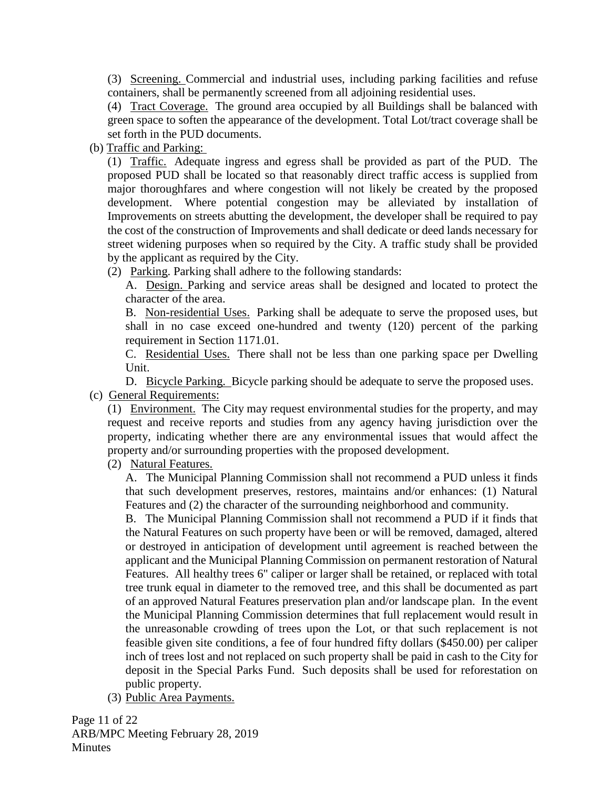(3) Screening. Commercial and industrial uses, including parking facilities and refuse containers, shall be permanently screened from all adjoining residential uses.

(4) Tract Coverage. The ground area occupied by all Buildings shall be balanced with green space to soften the appearance of the development. Total Lot/tract coverage shall be set forth in the PUD documents.

(b) Traffic and Parking:

(1) Traffic. Adequate ingress and egress shall be provided as part of the PUD. The proposed PUD shall be located so that reasonably direct traffic access is supplied from major thoroughfares and where congestion will not likely be created by the proposed development. Where potential congestion may be alleviated by installation of Improvements on streets abutting the development, the developer shall be required to pay the cost of the construction of Improvements and shall dedicate or deed lands necessary for street widening purposes when so required by the City. A traffic study shall be provided by the applicant as required by the City.

(2) Parking. Parking shall adhere to the following standards:

A. Design. Parking and service areas shall be designed and located to protect the character of the area.

B. Non-residential Uses. Parking shall be adequate to serve the proposed uses, but shall in no case exceed one-hundred and twenty (120) percent of the parking requirement in Section 1171.01.

C. Residential Uses. There shall not be less than one parking space per Dwelling Unit.

D. Bicycle Parking. Bicycle parking should be adequate to serve the proposed uses. (c) General Requirements:

(1) Environment. The City may request environmental studies for the property, and may request and receive reports and studies from any agency having jurisdiction over the property, indicating whether there are any environmental issues that would affect the property and/or surrounding properties with the proposed development.

(2) Natural Features.

A. The Municipal Planning Commission shall not recommend a PUD unless it finds that such development preserves, restores, maintains and/or enhances: (1) Natural Features and (2) the character of the surrounding neighborhood and community.

B. The Municipal Planning Commission shall not recommend a PUD if it finds that the Natural Features on such property have been or will be removed, damaged, altered or destroyed in anticipation of development until agreement is reached between the applicant and the Municipal Planning Commission on permanent restoration of Natural Features. All healthy trees 6" caliper or larger shall be retained, or replaced with total tree trunk equal in diameter to the removed tree, and this shall be documented as part of an approved Natural Features preservation plan and/or landscape plan. In the event the Municipal Planning Commission determines that full replacement would result in the unreasonable crowding of trees upon the Lot, or that such replacement is not feasible given site conditions, a fee of four hundred fifty dollars (\$450.00) per caliper inch of trees lost and not replaced on such property shall be paid in cash to the City for deposit in the Special Parks Fund. Such deposits shall be used for reforestation on public property.

(3) Public Area Payments.

Page 11 of 22 ARB/MPC Meeting February 28, 2019 **Minutes**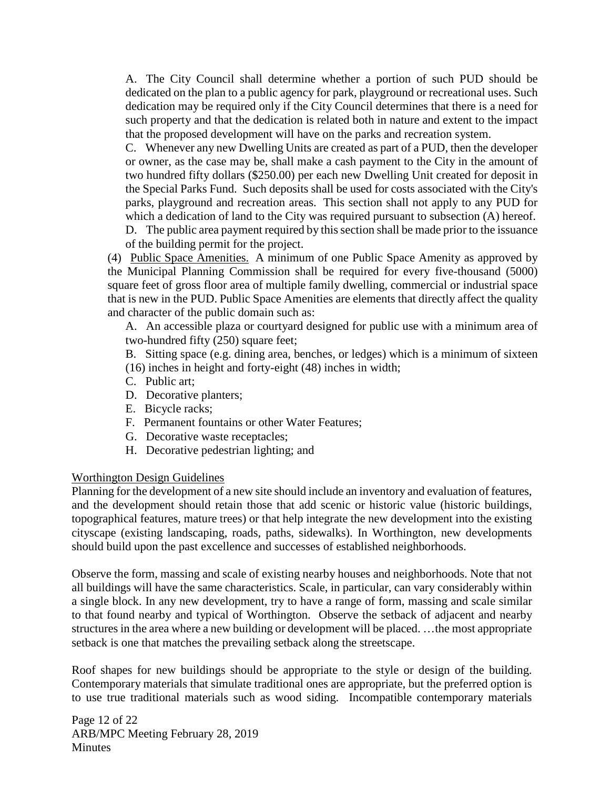A. The City Council shall determine whether a portion of such PUD should be dedicated on the plan to a public agency for park, playground or recreational uses. Such dedication may be required only if the City Council determines that there is a need for such property and that the dedication is related both in nature and extent to the impact that the proposed development will have on the parks and recreation system.

C. Whenever any new Dwelling Units are created as part of a PUD, then the developer or owner, as the case may be, shall make a cash payment to the City in the amount of two hundred fifty dollars (\$250.00) per each new Dwelling Unit created for deposit in the Special Parks Fund. Such deposits shall be used for costs associated with the City's parks, playground and recreation areas. This section shall not apply to any PUD for which a dedication of land to the City was required pursuant to subsection (A) hereof.

D. The public area payment required by this section shall be made prior to the issuance of the building permit for the project.

(4) Public Space Amenities. A minimum of one Public Space Amenity as approved by the Municipal Planning Commission shall be required for every five-thousand (5000) square feet of gross floor area of multiple family dwelling, commercial or industrial space that is new in the PUD. Public Space Amenities are elements that directly affect the quality and character of the public domain such as:

A. An accessible plaza or courtyard designed for public use with a minimum area of two-hundred fifty (250) square feet;

B. Sitting space (e.g. dining area, benches, or ledges) which is a minimum of sixteen (16) inches in height and forty-eight (48) inches in width;

- C. Public art;
- D. Decorative planters;
- E. Bicycle racks;
- F. Permanent fountains or other Water Features;
- G. Decorative waste receptacles;
- H. Decorative pedestrian lighting; and

#### Worthington Design Guidelines

Planning for the development of a new site should include an inventory and evaluation of features, and the development should retain those that add scenic or historic value (historic buildings, topographical features, mature trees) or that help integrate the new development into the existing cityscape (existing landscaping, roads, paths, sidewalks). In Worthington, new developments should build upon the past excellence and successes of established neighborhoods.

Observe the form, massing and scale of existing nearby houses and neighborhoods. Note that not all buildings will have the same characteristics. Scale, in particular, can vary considerably within a single block. In any new development, try to have a range of form, massing and scale similar to that found nearby and typical of Worthington. Observe the setback of adjacent and nearby structures in the area where a new building or development will be placed. …the most appropriate setback is one that matches the prevailing setback along the streetscape.

Roof shapes for new buildings should be appropriate to the style or design of the building. Contemporary materials that simulate traditional ones are appropriate, but the preferred option is to use true traditional materials such as wood siding. Incompatible contemporary materials

Page 12 of 22 ARB/MPC Meeting February 28, 2019 **Minutes**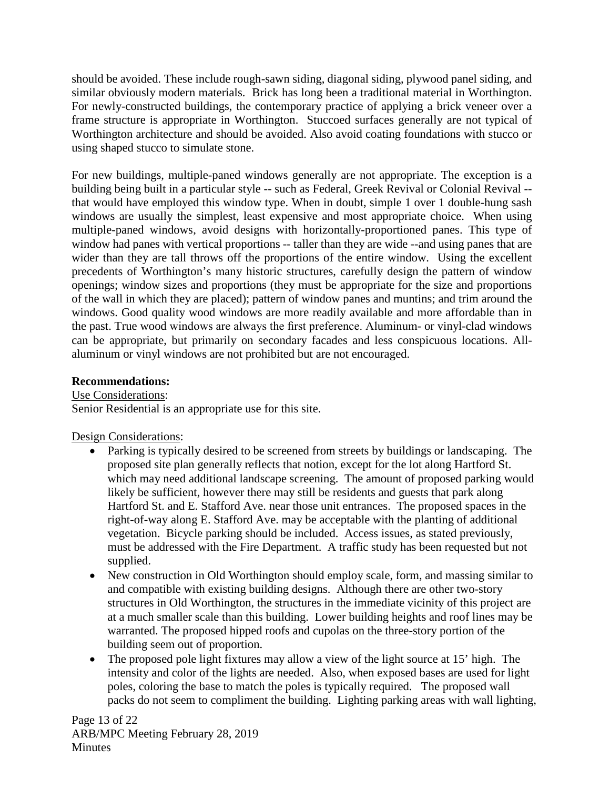should be avoided. These include rough-sawn siding, diagonal siding, plywood panel siding, and similar obviously modern materials. Brick has long been a traditional material in Worthington. For newly-constructed buildings, the contemporary practice of applying a brick veneer over a frame structure is appropriate in Worthington. Stuccoed surfaces generally are not typical of Worthington architecture and should be avoided. Also avoid coating foundations with stucco or using shaped stucco to simulate stone.

For new buildings, multiple-paned windows generally are not appropriate. The exception is a building being built in a particular style -- such as Federal, Greek Revival or Colonial Revival - that would have employed this window type. When in doubt, simple 1 over 1 double-hung sash windows are usually the simplest, least expensive and most appropriate choice. When using multiple-paned windows, avoid designs with horizontally-proportioned panes. This type of window had panes with vertical proportions -- taller than they are wide --and using panes that are wider than they are tall throws off the proportions of the entire window. Using the excellent precedents of Worthington's many historic structures, carefully design the pattern of window openings; window sizes and proportions (they must be appropriate for the size and proportions of the wall in which they are placed); pattern of window panes and muntins; and trim around the windows. Good quality wood windows are more readily available and more affordable than in the past. True wood windows are always the first preference. Aluminum- or vinyl-clad windows can be appropriate, but primarily on secondary facades and less conspicuous locations. Allaluminum or vinyl windows are not prohibited but are not encouraged.

#### **Recommendations:**

Use Considerations: Senior Residential is an appropriate use for this site.

Design Considerations:

- Parking is typically desired to be screened from streets by buildings or landscaping. The proposed site plan generally reflects that notion, except for the lot along Hartford St. which may need additional landscape screening. The amount of proposed parking would likely be sufficient, however there may still be residents and guests that park along Hartford St. and E. Stafford Ave. near those unit entrances. The proposed spaces in the right-of-way along E. Stafford Ave. may be acceptable with the planting of additional vegetation. Bicycle parking should be included. Access issues, as stated previously, must be addressed with the Fire Department. A traffic study has been requested but not supplied.
- New construction in Old Worthington should employ scale, form, and massing similar to and compatible with existing building designs. Although there are other two-story structures in Old Worthington, the structures in the immediate vicinity of this project are at a much smaller scale than this building. Lower building heights and roof lines may be warranted. The proposed hipped roofs and cupolas on the three-story portion of the building seem out of proportion.
- The proposed pole light fixtures may allow a view of the light source at 15' high. The intensity and color of the lights are needed. Also, when exposed bases are used for light poles, coloring the base to match the poles is typically required. The proposed wall packs do not seem to compliment the building. Lighting parking areas with wall lighting,

Page 13 of 22 ARB/MPC Meeting February 28, 2019 **Minutes**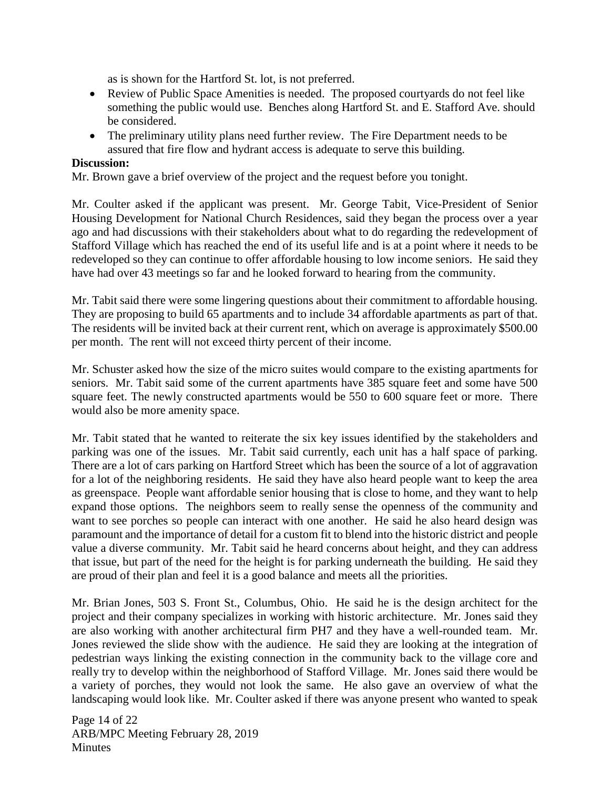as is shown for the Hartford St. lot, is not preferred.

- Review of Public Space Amenities is needed. The proposed courtyards do not feel like something the public would use. Benches along Hartford St. and E. Stafford Ave. should be considered.
- The preliminary utility plans need further review. The Fire Department needs to be assured that fire flow and hydrant access is adequate to serve this building.

#### **Discussion:**

Mr. Brown gave a brief overview of the project and the request before you tonight.

Mr. Coulter asked if the applicant was present. Mr. George Tabit, Vice-President of Senior Housing Development for National Church Residences, said they began the process over a year ago and had discussions with their stakeholders about what to do regarding the redevelopment of Stafford Village which has reached the end of its useful life and is at a point where it needs to be redeveloped so they can continue to offer affordable housing to low income seniors. He said they have had over 43 meetings so far and he looked forward to hearing from the community.

Mr. Tabit said there were some lingering questions about their commitment to affordable housing. They are proposing to build 65 apartments and to include 34 affordable apartments as part of that. The residents will be invited back at their current rent, which on average is approximately \$500.00 per month. The rent will not exceed thirty percent of their income.

Mr. Schuster asked how the size of the micro suites would compare to the existing apartments for seniors. Mr. Tabit said some of the current apartments have 385 square feet and some have 500 square feet. The newly constructed apartments would be 550 to 600 square feet or more. There would also be more amenity space.

Mr. Tabit stated that he wanted to reiterate the six key issues identified by the stakeholders and parking was one of the issues. Mr. Tabit said currently, each unit has a half space of parking. There are a lot of cars parking on Hartford Street which has been the source of a lot of aggravation for a lot of the neighboring residents. He said they have also heard people want to keep the area as greenspace. People want affordable senior housing that is close to home, and they want to help expand those options. The neighbors seem to really sense the openness of the community and want to see porches so people can interact with one another. He said he also heard design was paramount and the importance of detail for a custom fit to blend into the historic district and people value a diverse community. Mr. Tabit said he heard concerns about height, and they can address that issue, but part of the need for the height is for parking underneath the building. He said they are proud of their plan and feel it is a good balance and meets all the priorities.

Mr. Brian Jones, 503 S. Front St., Columbus, Ohio. He said he is the design architect for the project and their company specializes in working with historic architecture. Mr. Jones said they are also working with another architectural firm PH7 and they have a well-rounded team. Mr. Jones reviewed the slide show with the audience. He said they are looking at the integration of pedestrian ways linking the existing connection in the community back to the village core and really try to develop within the neighborhood of Stafford Village. Mr. Jones said there would be a variety of porches, they would not look the same. He also gave an overview of what the landscaping would look like. Mr. Coulter asked if there was anyone present who wanted to speak

Page 14 of 22 ARB/MPC Meeting February 28, 2019 **Minutes**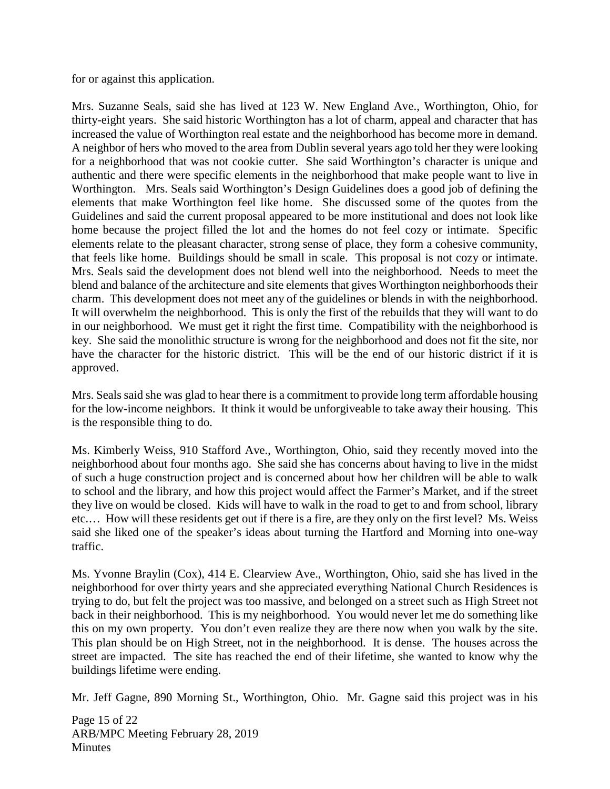for or against this application.

Mrs. Suzanne Seals, said she has lived at 123 W. New England Ave., Worthington, Ohio, for thirty-eight years. She said historic Worthington has a lot of charm, appeal and character that has increased the value of Worthington real estate and the neighborhood has become more in demand. A neighbor of hers who moved to the area from Dublin several years ago told her they were looking for a neighborhood that was not cookie cutter. She said Worthington's character is unique and authentic and there were specific elements in the neighborhood that make people want to live in Worthington. Mrs. Seals said Worthington's Design Guidelines does a good job of defining the elements that make Worthington feel like home. She discussed some of the quotes from the Guidelines and said the current proposal appeared to be more institutional and does not look like home because the project filled the lot and the homes do not feel cozy or intimate. Specific elements relate to the pleasant character, strong sense of place, they form a cohesive community, that feels like home. Buildings should be small in scale. This proposal is not cozy or intimate. Mrs. Seals said the development does not blend well into the neighborhood. Needs to meet the blend and balance of the architecture and site elements that gives Worthington neighborhoods their charm. This development does not meet any of the guidelines or blends in with the neighborhood. It will overwhelm the neighborhood. This is only the first of the rebuilds that they will want to do in our neighborhood. We must get it right the first time. Compatibility with the neighborhood is key. She said the monolithic structure is wrong for the neighborhood and does not fit the site, nor have the character for the historic district. This will be the end of our historic district if it is approved.

Mrs. Seals said she was glad to hear there is a commitment to provide long term affordable housing for the low-income neighbors. It think it would be unforgiveable to take away their housing. This is the responsible thing to do.

Ms. Kimberly Weiss, 910 Stafford Ave., Worthington, Ohio, said they recently moved into the neighborhood about four months ago. She said she has concerns about having to live in the midst of such a huge construction project and is concerned about how her children will be able to walk to school and the library, and how this project would affect the Farmer's Market, and if the street they live on would be closed. Kids will have to walk in the road to get to and from school, library etc.… How will these residents get out if there is a fire, are they only on the first level? Ms. Weiss said she liked one of the speaker's ideas about turning the Hartford and Morning into one-way traffic.

Ms. Yvonne Braylin (Cox), 414 E. Clearview Ave., Worthington, Ohio, said she has lived in the neighborhood for over thirty years and she appreciated everything National Church Residences is trying to do, but felt the project was too massive, and belonged on a street such as High Street not back in their neighborhood. This is my neighborhood. You would never let me do something like this on my own property. You don't even realize they are there now when you walk by the site. This plan should be on High Street, not in the neighborhood. It is dense. The houses across the street are impacted. The site has reached the end of their lifetime, she wanted to know why the buildings lifetime were ending.

Mr. Jeff Gagne, 890 Morning St., Worthington, Ohio. Mr. Gagne said this project was in his

Page 15 of 22 ARB/MPC Meeting February 28, 2019 **Minutes**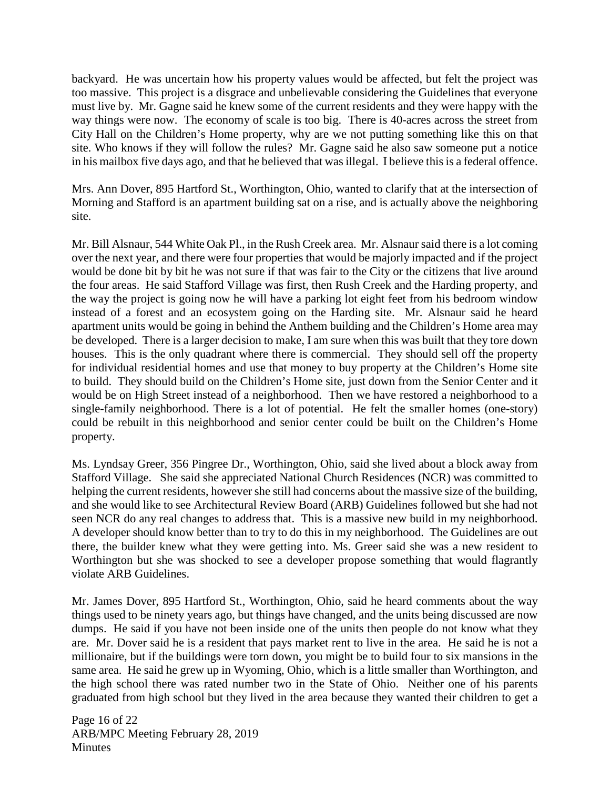backyard. He was uncertain how his property values would be affected, but felt the project was too massive. This project is a disgrace and unbelievable considering the Guidelines that everyone must live by. Mr. Gagne said he knew some of the current residents and they were happy with the way things were now. The economy of scale is too big. There is 40-acres across the street from City Hall on the Children's Home property, why are we not putting something like this on that site. Who knows if they will follow the rules? Mr. Gagne said he also saw someone put a notice in his mailbox five days ago, and that he believed that was illegal. I believe this is a federal offence.

Mrs. Ann Dover, 895 Hartford St., Worthington, Ohio, wanted to clarify that at the intersection of Morning and Stafford is an apartment building sat on a rise, and is actually above the neighboring site.

Mr. Bill Alsnaur, 544 White Oak Pl., in the Rush Creek area. Mr. Alsnaur said there is a lot coming over the next year, and there were four properties that would be majorly impacted and if the project would be done bit by bit he was not sure if that was fair to the City or the citizens that live around the four areas. He said Stafford Village was first, then Rush Creek and the Harding property, and the way the project is going now he will have a parking lot eight feet from his bedroom window instead of a forest and an ecosystem going on the Harding site. Mr. Alsnaur said he heard apartment units would be going in behind the Anthem building and the Children's Home area may be developed. There is a larger decision to make, I am sure when this was built that they tore down houses. This is the only quadrant where there is commercial. They should sell off the property for individual residential homes and use that money to buy property at the Children's Home site to build. They should build on the Children's Home site, just down from the Senior Center and it would be on High Street instead of a neighborhood. Then we have restored a neighborhood to a single-family neighborhood. There is a lot of potential. He felt the smaller homes (one-story) could be rebuilt in this neighborhood and senior center could be built on the Children's Home property.

Ms. Lyndsay Greer, 356 Pingree Dr., Worthington, Ohio, said she lived about a block away from Stafford Village. She said she appreciated National Church Residences (NCR) was committed to helping the current residents, however she still had concerns about the massive size of the building, and she would like to see Architectural Review Board (ARB) Guidelines followed but she had not seen NCR do any real changes to address that. This is a massive new build in my neighborhood. A developer should know better than to try to do this in my neighborhood. The Guidelines are out there, the builder knew what they were getting into. Ms. Greer said she was a new resident to Worthington but she was shocked to see a developer propose something that would flagrantly violate ARB Guidelines.

Mr. James Dover, 895 Hartford St., Worthington, Ohio, said he heard comments about the way things used to be ninety years ago, but things have changed, and the units being discussed are now dumps. He said if you have not been inside one of the units then people do not know what they are. Mr. Dover said he is a resident that pays market rent to live in the area. He said he is not a millionaire, but if the buildings were torn down, you might be to build four to six mansions in the same area. He said he grew up in Wyoming, Ohio, which is a little smaller than Worthington, and the high school there was rated number two in the State of Ohio. Neither one of his parents graduated from high school but they lived in the area because they wanted their children to get a

Page 16 of 22 ARB/MPC Meeting February 28, 2019 **Minutes**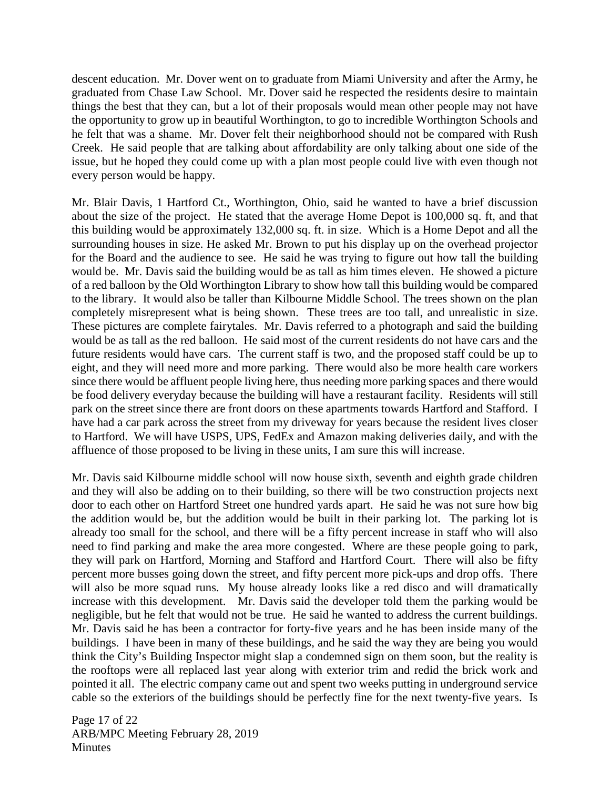descent education. Mr. Dover went on to graduate from Miami University and after the Army, he graduated from Chase Law School. Mr. Dover said he respected the residents desire to maintain things the best that they can, but a lot of their proposals would mean other people may not have the opportunity to grow up in beautiful Worthington, to go to incredible Worthington Schools and he felt that was a shame. Mr. Dover felt their neighborhood should not be compared with Rush Creek. He said people that are talking about affordability are only talking about one side of the issue, but he hoped they could come up with a plan most people could live with even though not every person would be happy.

Mr. Blair Davis, 1 Hartford Ct., Worthington, Ohio, said he wanted to have a brief discussion about the size of the project. He stated that the average Home Depot is 100,000 sq. ft, and that this building would be approximately 132,000 sq. ft. in size. Which is a Home Depot and all the surrounding houses in size. He asked Mr. Brown to put his display up on the overhead projector for the Board and the audience to see. He said he was trying to figure out how tall the building would be. Mr. Davis said the building would be as tall as him times eleven. He showed a picture of a red balloon by the Old Worthington Library to show how tall this building would be compared to the library. It would also be taller than Kilbourne Middle School. The trees shown on the plan completely misrepresent what is being shown. These trees are too tall, and unrealistic in size. These pictures are complete fairytales. Mr. Davis referred to a photograph and said the building would be as tall as the red balloon. He said most of the current residents do not have cars and the future residents would have cars. The current staff is two, and the proposed staff could be up to eight, and they will need more and more parking. There would also be more health care workers since there would be affluent people living here, thus needing more parking spaces and there would be food delivery everyday because the building will have a restaurant facility. Residents will still park on the street since there are front doors on these apartments towards Hartford and Stafford. I have had a car park across the street from my driveway for years because the resident lives closer to Hartford. We will have USPS, UPS, FedEx and Amazon making deliveries daily, and with the affluence of those proposed to be living in these units, I am sure this will increase.

Mr. Davis said Kilbourne middle school will now house sixth, seventh and eighth grade children and they will also be adding on to their building, so there will be two construction projects next door to each other on Hartford Street one hundred yards apart. He said he was not sure how big the addition would be, but the addition would be built in their parking lot. The parking lot is already too small for the school, and there will be a fifty percent increase in staff who will also need to find parking and make the area more congested. Where are these people going to park, they will park on Hartford, Morning and Stafford and Hartford Court. There will also be fifty percent more busses going down the street, and fifty percent more pick-ups and drop offs. There will also be more squad runs. My house already looks like a red disco and will dramatically increase with this development. Mr. Davis said the developer told them the parking would be negligible, but he felt that would not be true. He said he wanted to address the current buildings. Mr. Davis said he has been a contractor for forty-five years and he has been inside many of the buildings. I have been in many of these buildings, and he said the way they are being you would think the City's Building Inspector might slap a condemned sign on them soon, but the reality is the rooftops were all replaced last year along with exterior trim and redid the brick work and pointed it all. The electric company came out and spent two weeks putting in underground service cable so the exteriors of the buildings should be perfectly fine for the next twenty-five years. Is

Page 17 of 22 ARB/MPC Meeting February 28, 2019 **Minutes**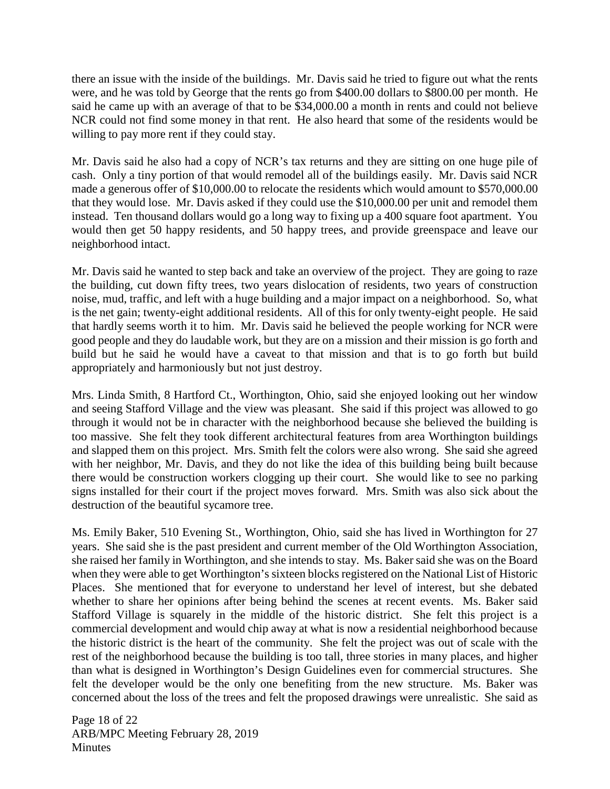there an issue with the inside of the buildings. Mr. Davis said he tried to figure out what the rents were, and he was told by George that the rents go from \$400.00 dollars to \$800.00 per month. He said he came up with an average of that to be \$34,000.00 a month in rents and could not believe NCR could not find some money in that rent. He also heard that some of the residents would be willing to pay more rent if they could stay.

Mr. Davis said he also had a copy of NCR's tax returns and they are sitting on one huge pile of cash. Only a tiny portion of that would remodel all of the buildings easily. Mr. Davis said NCR made a generous offer of \$10,000.00 to relocate the residents which would amount to \$570,000.00 that they would lose. Mr. Davis asked if they could use the \$10,000.00 per unit and remodel them instead. Ten thousand dollars would go a long way to fixing up a 400 square foot apartment. You would then get 50 happy residents, and 50 happy trees, and provide greenspace and leave our neighborhood intact.

Mr. Davis said he wanted to step back and take an overview of the project. They are going to raze the building, cut down fifty trees, two years dislocation of residents, two years of construction noise, mud, traffic, and left with a huge building and a major impact on a neighborhood. So, what is the net gain; twenty-eight additional residents. All of this for only twenty-eight people. He said that hardly seems worth it to him. Mr. Davis said he believed the people working for NCR were good people and they do laudable work, but they are on a mission and their mission is go forth and build but he said he would have a caveat to that mission and that is to go forth but build appropriately and harmoniously but not just destroy.

Mrs. Linda Smith, 8 Hartford Ct., Worthington, Ohio, said she enjoyed looking out her window and seeing Stafford Village and the view was pleasant. She said if this project was allowed to go through it would not be in character with the neighborhood because she believed the building is too massive. She felt they took different architectural features from area Worthington buildings and slapped them on this project. Mrs. Smith felt the colors were also wrong. She said she agreed with her neighbor, Mr. Davis, and they do not like the idea of this building being built because there would be construction workers clogging up their court. She would like to see no parking signs installed for their court if the project moves forward. Mrs. Smith was also sick about the destruction of the beautiful sycamore tree.

Ms. Emily Baker, 510 Evening St., Worthington, Ohio, said she has lived in Worthington for 27 years. She said she is the past president and current member of the Old Worthington Association, she raised her family in Worthington, and she intends to stay. Ms. Baker said she was on the Board when they were able to get Worthington's sixteen blocks registered on the National List of Historic Places. She mentioned that for everyone to understand her level of interest, but she debated whether to share her opinions after being behind the scenes at recent events. Ms. Baker said Stafford Village is squarely in the middle of the historic district. She felt this project is a commercial development and would chip away at what is now a residential neighborhood because the historic district is the heart of the community. She felt the project was out of scale with the rest of the neighborhood because the building is too tall, three stories in many places, and higher than what is designed in Worthington's Design Guidelines even for commercial structures. She felt the developer would be the only one benefiting from the new structure. Ms. Baker was concerned about the loss of the trees and felt the proposed drawings were unrealistic. She said as

Page 18 of 22 ARB/MPC Meeting February 28, 2019 **Minutes**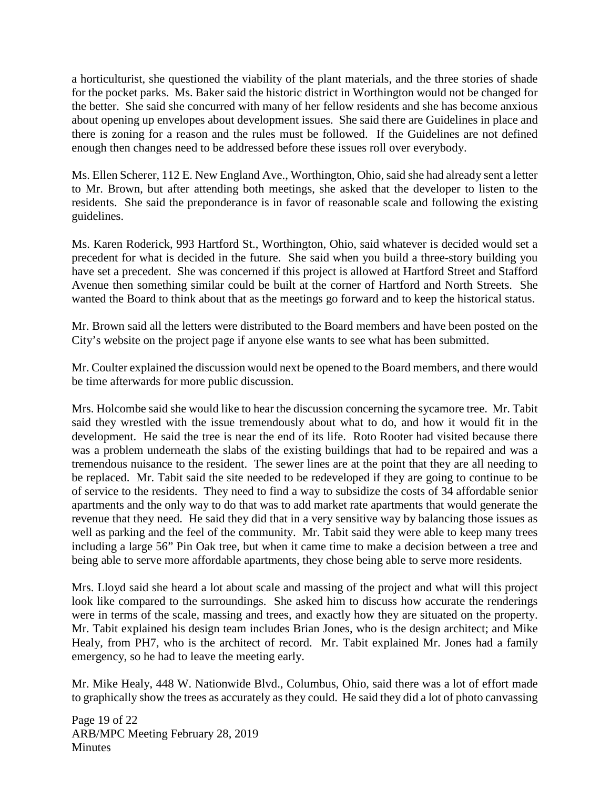a horticulturist, she questioned the viability of the plant materials, and the three stories of shade for the pocket parks. Ms. Baker said the historic district in Worthington would not be changed for the better. She said she concurred with many of her fellow residents and she has become anxious about opening up envelopes about development issues. She said there are Guidelines in place and there is zoning for a reason and the rules must be followed. If the Guidelines are not defined enough then changes need to be addressed before these issues roll over everybody.

Ms. Ellen Scherer, 112 E. New England Ave., Worthington, Ohio, said she had already sent a letter to Mr. Brown, but after attending both meetings, she asked that the developer to listen to the residents. She said the preponderance is in favor of reasonable scale and following the existing guidelines.

Ms. Karen Roderick, 993 Hartford St., Worthington, Ohio, said whatever is decided would set a precedent for what is decided in the future. She said when you build a three-story building you have set a precedent. She was concerned if this project is allowed at Hartford Street and Stafford Avenue then something similar could be built at the corner of Hartford and North Streets. She wanted the Board to think about that as the meetings go forward and to keep the historical status.

Mr. Brown said all the letters were distributed to the Board members and have been posted on the City's website on the project page if anyone else wants to see what has been submitted.

Mr. Coulter explained the discussion would next be opened to the Board members, and there would be time afterwards for more public discussion.

Mrs. Holcombe said she would like to hear the discussion concerning the sycamore tree. Mr. Tabit said they wrestled with the issue tremendously about what to do, and how it would fit in the development. He said the tree is near the end of its life. Roto Rooter had visited because there was a problem underneath the slabs of the existing buildings that had to be repaired and was a tremendous nuisance to the resident. The sewer lines are at the point that they are all needing to be replaced. Mr. Tabit said the site needed to be redeveloped if they are going to continue to be of service to the residents. They need to find a way to subsidize the costs of 34 affordable senior apartments and the only way to do that was to add market rate apartments that would generate the revenue that they need. He said they did that in a very sensitive way by balancing those issues as well as parking and the feel of the community. Mr. Tabit said they were able to keep many trees including a large 56" Pin Oak tree, but when it came time to make a decision between a tree and being able to serve more affordable apartments, they chose being able to serve more residents.

Mrs. Lloyd said she heard a lot about scale and massing of the project and what will this project look like compared to the surroundings. She asked him to discuss how accurate the renderings were in terms of the scale, massing and trees, and exactly how they are situated on the property. Mr. Tabit explained his design team includes Brian Jones, who is the design architect; and Mike Healy, from PH7, who is the architect of record. Mr. Tabit explained Mr. Jones had a family emergency, so he had to leave the meeting early.

Mr. Mike Healy, 448 W. Nationwide Blvd., Columbus, Ohio, said there was a lot of effort made to graphically show the trees as accurately as they could. He said they did a lot of photo canvassing

Page 19 of 22 ARB/MPC Meeting February 28, 2019 **Minutes**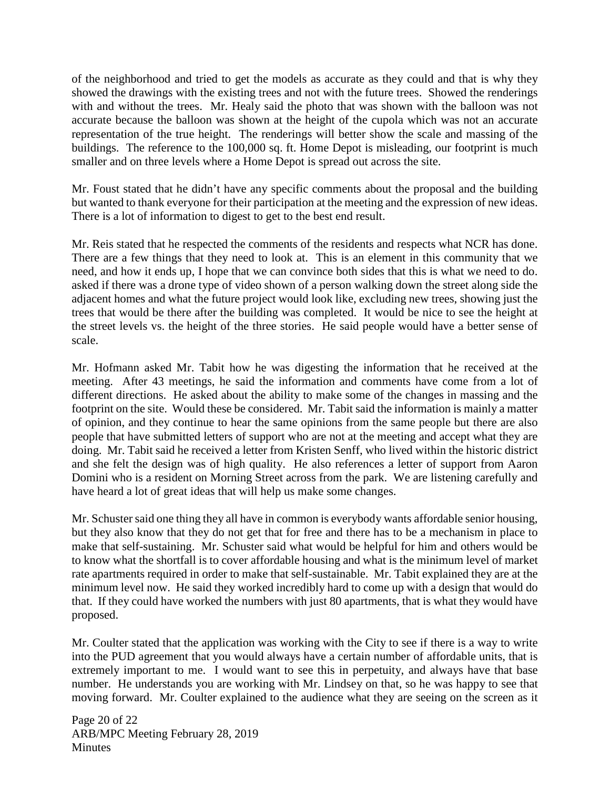of the neighborhood and tried to get the models as accurate as they could and that is why they showed the drawings with the existing trees and not with the future trees. Showed the renderings with and without the trees. Mr. Healy said the photo that was shown with the balloon was not accurate because the balloon was shown at the height of the cupola which was not an accurate representation of the true height. The renderings will better show the scale and massing of the buildings. The reference to the 100,000 sq. ft. Home Depot is misleading, our footprint is much smaller and on three levels where a Home Depot is spread out across the site.

Mr. Foust stated that he didn't have any specific comments about the proposal and the building but wanted to thank everyone for their participation at the meeting and the expression of new ideas. There is a lot of information to digest to get to the best end result.

Mr. Reis stated that he respected the comments of the residents and respects what NCR has done. There are a few things that they need to look at. This is an element in this community that we need, and how it ends up, I hope that we can convince both sides that this is what we need to do. asked if there was a drone type of video shown of a person walking down the street along side the adjacent homes and what the future project would look like, excluding new trees, showing just the trees that would be there after the building was completed. It would be nice to see the height at the street levels vs. the height of the three stories. He said people would have a better sense of scale.

Mr. Hofmann asked Mr. Tabit how he was digesting the information that he received at the meeting. After 43 meetings, he said the information and comments have come from a lot of different directions. He asked about the ability to make some of the changes in massing and the footprint on the site. Would these be considered. Mr. Tabit said the information is mainly a matter of opinion, and they continue to hear the same opinions from the same people but there are also people that have submitted letters of support who are not at the meeting and accept what they are doing. Mr. Tabit said he received a letter from Kristen Senff, who lived within the historic district and she felt the design was of high quality. He also references a letter of support from Aaron Domini who is a resident on Morning Street across from the park. We are listening carefully and have heard a lot of great ideas that will help us make some changes.

Mr. Schuster said one thing they all have in common is everybody wants affordable senior housing, but they also know that they do not get that for free and there has to be a mechanism in place to make that self-sustaining. Mr. Schuster said what would be helpful for him and others would be to know what the shortfall is to cover affordable housing and what is the minimum level of market rate apartments required in order to make that self-sustainable. Mr. Tabit explained they are at the minimum level now. He said they worked incredibly hard to come up with a design that would do that. If they could have worked the numbers with just 80 apartments, that is what they would have proposed.

Mr. Coulter stated that the application was working with the City to see if there is a way to write into the PUD agreement that you would always have a certain number of affordable units, that is extremely important to me. I would want to see this in perpetuity, and always have that base number. He understands you are working with Mr. Lindsey on that, so he was happy to see that moving forward. Mr. Coulter explained to the audience what they are seeing on the screen as it

Page 20 of 22 ARB/MPC Meeting February 28, 2019 **Minutes**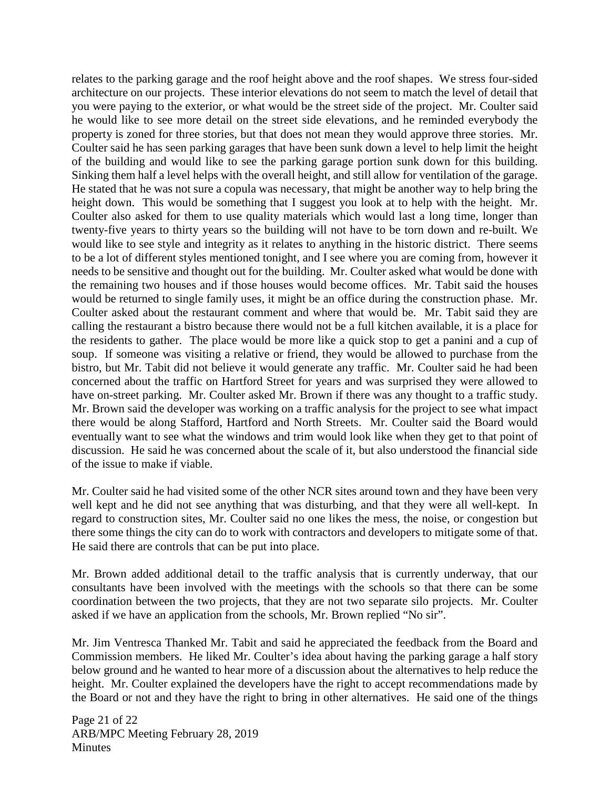relates to the parking garage and the roof height above and the roof shapes. We stress four-sided architecture on our projects. These interior elevations do not seem to match the level of detail that you were paying to the exterior, or what would be the street side of the project. Mr. Coulter said he would like to see more detail on the street side elevations, and he reminded everybody the property is zoned for three stories, but that does not mean they would approve three stories. Mr. Coulter said he has seen parking garages that have been sunk down a level to help limit the height of the building and would like to see the parking garage portion sunk down for this building. Sinking them half a level helps with the overall height, and still allow for ventilation of the garage. He stated that he was not sure a copula was necessary, that might be another way to help bring the height down. This would be something that I suggest you look at to help with the height. Mr. Coulter also asked for them to use quality materials which would last a long time, longer than twenty-five years to thirty years so the building will not have to be torn down and re-built. We would like to see style and integrity as it relates to anything in the historic district. There seems to be a lot of different styles mentioned tonight, and I see where you are coming from, however it needs to be sensitive and thought out for the building. Mr. Coulter asked what would be done with the remaining two houses and if those houses would become offices. Mr. Tabit said the houses would be returned to single family uses, it might be an office during the construction phase. Mr. Coulter asked about the restaurant comment and where that would be. Mr. Tabit said they are calling the restaurant a bistro because there would not be a full kitchen available, it is a place for the residents to gather. The place would be more like a quick stop to get a panini and a cup of soup. If someone was visiting a relative or friend, they would be allowed to purchase from the bistro, but Mr. Tabit did not believe it would generate any traffic. Mr. Coulter said he had been concerned about the traffic on Hartford Street for years and was surprised they were allowed to have on-street parking. Mr. Coulter asked Mr. Brown if there was any thought to a traffic study. Mr. Brown said the developer was working on a traffic analysis for the project to see what impact there would be along Stafford, Hartford and North Streets. Mr. Coulter said the Board would eventually want to see what the windows and trim would look like when they get to that point of discussion. He said he was concerned about the scale of it, but also understood the financial side of the issue to make if viable.

Mr. Coulter said he had visited some of the other NCR sites around town and they have been very well kept and he did not see anything that was disturbing, and that they were all well-kept. In regard to construction sites, Mr. Coulter said no one likes the mess, the noise, or congestion but there some things the city can do to work with contractors and developers to mitigate some of that. He said there are controls that can be put into place.

Mr. Brown added additional detail to the traffic analysis that is currently underway, that our consultants have been involved with the meetings with the schools so that there can be some coordination between the two projects, that they are not two separate silo projects. Mr. Coulter asked if we have an application from the schools, Mr. Brown replied "No sir".

Mr. Jim Ventresca Thanked Mr. Tabit and said he appreciated the feedback from the Board and Commission members. He liked Mr. Coulter's idea about having the parking garage a half story below ground and he wanted to hear more of a discussion about the alternatives to help reduce the height. Mr. Coulter explained the developers have the right to accept recommendations made by the Board or not and they have the right to bring in other alternatives. He said one of the things

Page 21 of 22 ARB/MPC Meeting February 28, 2019 **Minutes**